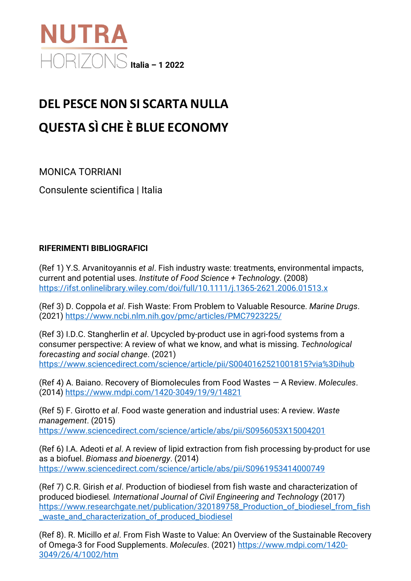

## **DEL PESCE NON SI SCARTA NULLA QUESTA SÌ CHE È BLUE ECONOMY**

MONICA TORRIANI

Consulente scientifica | Italia

## **RIFERIMENTI BIBLIOGRAFICI**

(Ref 1) Y.S. Arvanitoyannis *et al*. Fish industry waste: treatments, environmental impacts, current and potential uses. *Institute of Food Science + Technology*. (2008) <https://ifst.onlinelibrary.wiley.com/doi/full/10.1111/j.1365-2621.2006.01513.x>

(Ref 3) D. Coppola *et al*. Fish Waste: From Problem to Valuable Resource. *Marine Drugs*. (2021)<https://www.ncbi.nlm.nih.gov/pmc/articles/PMC7923225/>

(Ref 3) I.D.C. Stangherlin *et al*. Upcycled by-product use in agri-food systems from a consumer perspective: A review of what we know, and what is missing. *Technological forecasting and social change*. (2021) <https://www.sciencedirect.com/science/article/pii/S0040162521001815?via%3Dihub>

(Ref 4) A. Baiano. Recovery of Biomolecules from Food Wastes — A Review. *Molecules*. (2014)<https://www.mdpi.com/1420-3049/19/9/14821>

(Ref 5) F. Girotto *et al*. Food waste generation and industrial uses: A review. *Waste management*. (2015)

<https://www.sciencedirect.com/science/article/abs/pii/S0956053X15004201>

(Ref 6) I.A. Adeoti *et al*. A review of lipid extraction from fish processing by-product for use as a biofuel. *Biomass and bioenergy*. (2014) <https://www.sciencedirect.com/science/article/abs/pii/S0961953414000749>

(Ref 7) C.R. Girish *et al*. Production of biodiesel from fish waste and characterization of produced biodiesel*. International Journal of Civil Engineering and Technology* (2017) [https://www.researchgate.net/publication/320189758\\_Production\\_of\\_biodiesel\\_from\\_fish](https://www.researchgate.net/publication/320189758_Production_of_biodiesel_from_fish_waste_and_characterization_of_produced_biodiesel) [\\_waste\\_and\\_characterization\\_of\\_produced\\_biodiesel](https://www.researchgate.net/publication/320189758_Production_of_biodiesel_from_fish_waste_and_characterization_of_produced_biodiesel)

(Ref 8). R. Micillo *et al*. From Fish Waste to Value: An Overview of the Sustainable Recovery of Omega-3 for Food Supplements. *Molecules*. (2021) [https://www.mdpi.com/1420-](https://www.mdpi.com/1420-3049/26/4/1002/htm) [3049/26/4/1002/htm](https://www.mdpi.com/1420-3049/26/4/1002/htm)